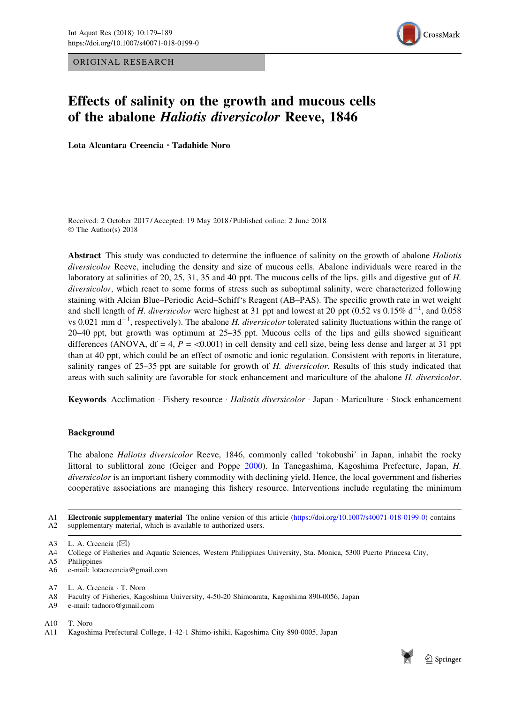ORIGINAL RESEARCH



# Effects of salinity on the growth and mucous cells of the abalone Haliotis diversicolor Reeve, 1846

Lota Alcantara Creencia · Tadahide Noro

Received: 2 October 2017 / Accepted: 19 May 2018 / Published online: 2 June 2018 © The Author(s) 2018

Abstract This study was conducted to determine the influence of salinity on the growth of abalone *Haliotis* diversicolor Reeve, including the density and size of mucous cells. Abalone individuals were reared in the laboratory at salinities of 20, 25, 31, 35 and 40 ppt. The mucous cells of the lips, gills and digestive gut of H. diversicolor, which react to some forms of stress such as suboptimal salinity, were characterized following staining with Alcian Blue–Periodic Acid–Schiff's Reagent (AB–PAS). The specific growth rate in wet weight and shell length of H. diversicolor were highest at 31 ppt and lowest at 20 ppt (0.52 vs 0.15%  $d^{-1}$ , and 0.058 vs 0.021 mm  $d^{-1}$ , respectively). The abalone *H. diversicolor* tolerated salinity fluctuations within the range of 20–40 ppt, but growth was optimum at 25–35 ppt. Mucous cells of the lips and gills showed significant differences (ANOVA,  $df = 4$ ,  $P = \langle 0.001 \rangle$  in cell density and cell size, being less dense and larger at 31 ppt than at 40 ppt, which could be an effect of osmotic and ionic regulation. Consistent with reports in literature, salinity ranges of 25–35 ppt are suitable for growth of H. diversicolor. Results of this study indicated that areas with such salinity are favorable for stock enhancement and mariculture of the abalone H. diversicolor.

Keywords Acclimation · Fishery resource · Haliotis diversicolor · Japan · Mariculture · Stock enhancement

# Background

The abalone Haliotis diversicolor Reeve, 1846, commonly called 'tokobushi' in Japan, inhabit the rocky littoral to sublittoral zone (Geiger and Poppe [2000](#page-9-0)). In Tanegashima, Kagoshima Prefecture, Japan, H. diversicolor is an important fishery commodity with declining yield. Hence, the local government and fisheries cooperative associations are managing this fishery resource. Interventions include regulating the minimum

A1 Electronic supplementary material The online version of this article [\(https://doi.org/10.1007/s40071-018-0199-0\)](https://doi.org/10.1007/s40071-018-0199-0) contains A2 supplementary material, which is available to authorized users.

A5 Philippines

- A9 e-mail: tadnoro@gmail.com
- A10 T. Noro



A3 L. A. Creencia  $(\boxtimes)$ 

A4 College of Fisheries and Aquatic Sciences, Western Philippines University, Sta. Monica, 5300 Puerto Princesa City,

A6 e-mail: lotacreencia@gmail.com

A7 L. A. Creencia - T. Noro

A8 Faculty of Fisheries, Kagoshima University, 4-50-20 Shimoarata, Kagoshima 890-0056, Japan

A11 Kagoshima Prefectural College, 1-42-1 Shimo-ishiki, Kagoshima City 890-0005, Japan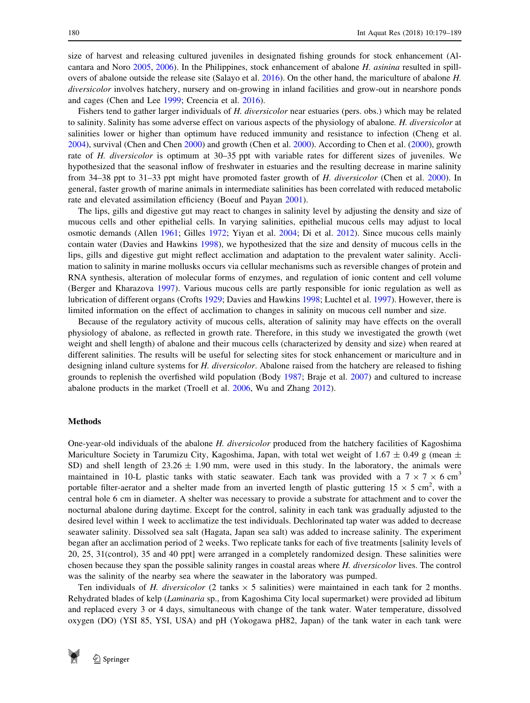size of harvest and releasing cultured juveniles in designated fishing grounds for stock enhancement (Alcantara and Noro [2005,](#page-8-0) [2006](#page-8-0)). In the Philippines, stock enhancement of abalone H. asinina resulted in spillovers of abalone outside the release site (Salayo et al. [2016\)](#page-9-0). On the other hand, the mariculture of abalone H. diversicolor involves hatchery, nursery and on-growing in inland facilities and grow-out in nearshore ponds and cages (Chen and Lee [1999;](#page-9-0) Creencia et al. [2016\)](#page-9-0).

Fishers tend to gather larger individuals of H. diversicolor near estuaries (pers. obs.) which may be related to salinity. Salinity has some adverse effect on various aspects of the physiology of abalone. H. diversicolor at salinities lower or higher than optimum have reduced immunity and resistance to infection (Cheng et al. [2004](#page-9-0)), survival (Chen and Chen [2000](#page-9-0)) and growth (Chen et al. [2000\)](#page-9-0). According to Chen et al. [\(2000](#page-9-0)), growth rate of H. diversicolor is optimum at 30–35 ppt with variable rates for different sizes of juveniles. We hypothesized that the seasonal inflow of freshwater in estuaries and the resulting decrease in marine salinity from 34–38 ppt to 31–33 ppt might have promoted faster growth of H. diversicolor (Chen et al. [2000\)](#page-9-0). In general, faster growth of marine animals in intermediate salinities has been correlated with reduced metabolic rate and elevated assimilation efficiency (Boeuf and Payan [2001\)](#page-9-0).

The lips, gills and digestive gut may react to changes in salinity level by adjusting the density and size of mucous cells and other epithelial cells. In varying salinities, epithelial mucous cells may adjust to local osmotic demands (Allen [1961;](#page-8-0) Gilles [1972;](#page-9-0) Yiyan et al. [2004;](#page-10-0) Di et al. [2012](#page-9-0)). Since mucous cells mainly contain water (Davies and Hawkins [1998](#page-9-0)), we hypothesized that the size and density of mucous cells in the lips, gills and digestive gut might reflect acclimation and adaptation to the prevalent water salinity. Acclimation to salinity in marine mollusks occurs via cellular mechanisms such as reversible changes of protein and RNA synthesis, alteration of molecular forms of enzymes, and regulation of ionic content and cell volume (Berger and Kharazova [1997\)](#page-9-0). Various mucous cells are partly responsible for ionic regulation as well as lubrication of different organs (Crofts [1929;](#page-9-0) Davies and Hawkins [1998;](#page-9-0) Luchtel et al. [1997\)](#page-9-0). However, there is limited information on the effect of acclimation to changes in salinity on mucous cell number and size.

Because of the regulatory activity of mucous cells, alteration of salinity may have effects on the overall physiology of abalone, as reflected in growth rate. Therefore, in this study we investigated the growth (wet weight and shell length) of abalone and their mucous cells (characterized by density and size) when reared at different salinities. The results will be useful for selecting sites for stock enhancement or mariculture and in designing inland culture systems for H. diversicolor. Abalone raised from the hatchery are released to fishing grounds to replenish the overfished wild population (Body [1987](#page-9-0); Braje et al. [2007](#page-9-0)) and cultured to increase abalone products in the market (Troell et al. [2006,](#page-10-0) Wu and Zhang [2012\)](#page-10-0).

## Methods

One-year-old individuals of the abalone H. diversicolor produced from the hatchery facilities of Kagoshima Mariculture Society in Tarumizu City, Kagoshima, Japan, with total wet weight of 1.67  $\pm$  0.49 g (mean  $\pm$ SD) and shell length of  $23.26 \pm 1.90$  mm, were used in this study. In the laboratory, the animals were maintained in 10-L plastic tanks with static seawater. Each tank was provided with a  $7 \times 7 \times 6$  cm<sup>3</sup> portable filter-aerator and a shelter made from an inverted length of plastic guttering  $15 \times 5$  cm<sup>2</sup>, with a central hole 6 cm in diameter. A shelter was necessary to provide a substrate for attachment and to cover the nocturnal abalone during daytime. Except for the control, salinity in each tank was gradually adjusted to the desired level within 1 week to acclimatize the test individuals. Dechlorinated tap water was added to decrease seawater salinity. Dissolved sea salt (Hagata, Japan sea salt) was added to increase salinity. The experiment began after an acclimation period of 2 weeks. Two replicate tanks for each of five treatments [salinity levels of 20, 25, 31(control), 35 and 40 ppt] were arranged in a completely randomized design. These salinities were chosen because they span the possible salinity ranges in coastal areas where H. diversicolor lives. The control was the salinity of the nearby sea where the seawater in the laboratory was pumped.

Ten individuals of H. diversicolor (2 tanks  $\times$  5 salinities) were maintained in each tank for 2 months. Rehydrated blades of kelp (Laminaria sp., from Kagoshima City local supermarket) were provided ad libitum and replaced every 3 or 4 days, simultaneous with change of the tank water. Water temperature, dissolved oxygen (DO) (YSI 85, YSI, USA) and pH (Yokogawa pH82, Japan) of the tank water in each tank were

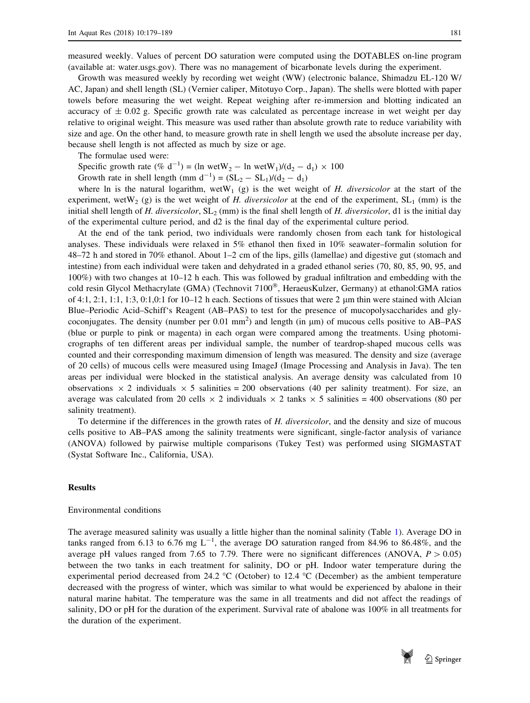measured weekly. Values of percent DO saturation were computed using the DOTABLES on-line program (available at: water.usgs.gov). There was no management of bicarbonate levels during the experiment.

Growth was measured weekly by recording wet weight (WW) (electronic balance, Shimadzu EL-120 W/ AC, Japan) and shell length (SL) (Vernier caliper, Mitotuyo Corp., Japan). The shells were blotted with paper towels before measuring the wet weight. Repeat weighing after re-immersion and blotting indicated an accuracy of  $\pm$  0.02 g. Specific growth rate was calculated as percentage increase in wet weight per day relative to original weight. This measure was used rather than absolute growth rate to reduce variability with size and age. On the other hand, to measure growth rate in shell length we used the absolute increase per day, because shell length is not affected as much by size or age.

The formulae used were:

Specific growth rate  $(\% d^{-1}) = (\ln \text{wetW}_2 - \ln \text{wetW}_1)/(\text{d}_2 - \text{d}_1) \times 100$ 

Growth rate in shell length (mm  $d^{-1}$ ) =  $(SL_2 - SL_1)/(d_2 - d_1)$ 

where ln is the natural logarithm, wetW<sub>1</sub> (g) is the wet weight of H. diversicolor at the start of the experiment, wetW<sub>2</sub> (g) is the wet weight of H. diversicolor at the end of the experiment,  $SL_1$  (mm) is the initial shell length of H. diversicolor,  $SL_2$  (mm) is the final shell length of H. diversicolor, d1 is the initial day of the experimental culture period, and d2 is the final day of the experimental culture period.

At the end of the tank period, two individuals were randomly chosen from each tank for histological analyses. These individuals were relaxed in 5% ethanol then fixed in 10% seawater–formalin solution for 48–72 h and stored in 70% ethanol. About 1–2 cm of the lips, gills (lamellae) and digestive gut (stomach and intestine) from each individual were taken and dehydrated in a graded ethanol series (70, 80, 85, 90, 95, and 100%) with two changes at 10–12 h each. This was followed by gradual infiltration and embedding with the cold resin Glycol Methacrylate (GMA) (Technovit 7100<sup>®</sup>, HeraeusKulzer, Germany) at ethanol:GMA ratios of 4:1, 2:1, 1:1, 1:3, 0:1,0:1 for 10–12 h each. Sections of tissues that were 2  $\mu$ m thin were stained with Alcian Blue–Periodic Acid–Schiff's Reagent (AB–PAS) to test for the presence of mucopolysaccharides and glycoconjugates. The density (number per  $0.01 \text{ mm}^2$ ) and length (in  $\mu$ m) of mucous cells positive to AB–PAS (blue or purple to pink or magenta) in each organ were compared among the treatments. Using photomicrographs of ten different areas per individual sample, the number of teardrop-shaped mucous cells was counted and their corresponding maximum dimension of length was measured. The density and size (average of 20 cells) of mucous cells were measured using ImageJ (Image Processing and Analysis in Java). The ten areas per individual were blocked in the statistical analysis. An average density was calculated from 10 observations  $\times$  2 individuals  $\times$  5 salinities = 200 observations (40 per salinity treatment). For size, an average was calculated from 20 cells  $\times$  2 individuals  $\times$  2 tanks  $\times$  5 salinities = 400 observations (80 per salinity treatment).

To determine if the differences in the growth rates of H. diversicolor, and the density and size of mucous cells positive to AB–PAS among the salinity treatments were significant, single-factor analysis of variance (ANOVA) followed by pairwise multiple comparisons (Tukey Test) was performed using SIGMASTAT (Systat Software Inc., California, USA).

## Results

### Environmental conditions

The average measured salinity was usually a little higher than the nominal salinity (Table [1](#page-3-0)). Average DO in tanks ranged from 6.13 to 6.76 mg  $L^{-1}$ , the average DO saturation ranged from 84.96 to 86.48%, and the average pH values ranged from 7.65 to 7.79. There were no significant differences (ANOVA,  $P > 0.05$ ) between the two tanks in each treatment for salinity, DO or pH. Indoor water temperature during the experimental period decreased from 24.2 °C (October) to 12.4 °C (December) as the ambient temperature decreased with the progress of winter, which was similar to what would be experienced by abalone in their natural marine habitat. The temperature was the same in all treatments and did not affect the readings of salinity, DO or pH for the duration of the experiment. Survival rate of abalone was 100% in all treatments for the duration of the experiment.

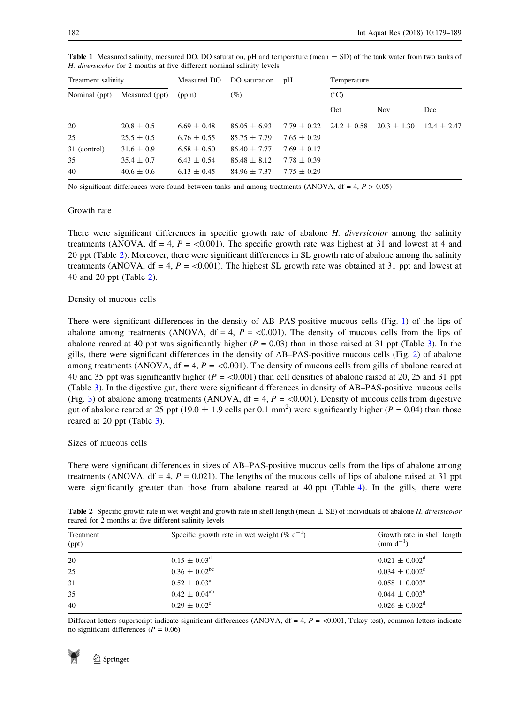| Treatment salinity |                | Measured DO     | DO saturation    | pH<br>Temperature |                 |                 |                 |
|--------------------|----------------|-----------------|------------------|-------------------|-----------------|-----------------|-----------------|
| Nominal (ppt)      | Measured (ppt) | (ppm)           | (%)              |                   | $(^{\circ}C)$   |                 |                 |
|                    |                |                 |                  |                   | Oct             | <b>Nov</b>      | Dec             |
| 20                 | $20.8 \pm 0.5$ | $6.69 \pm 0.48$ | $86.05 \pm 6.93$ | $7.79 \pm 0.22$   | $24.2 \pm 0.58$ | $20.3 \pm 1.30$ | $12.4 \pm 2.47$ |
| 25                 | $25.5 \pm 0.5$ | $6.76 \pm 0.55$ | $85.75 \pm 7.79$ | $7.65 \pm 0.29$   |                 |                 |                 |
| 31 (control)       | $31.6 \pm 0.9$ | $6.58 \pm 0.50$ | $86.40 \pm 7.77$ | $7.69 \pm 0.17$   |                 |                 |                 |
| 35                 | $35.4 \pm 0.7$ | $6.43 \pm 0.54$ | $86.48 \pm 8.12$ | $7.78 \pm 0.39$   |                 |                 |                 |
| 40                 | $40.6 \pm 0.6$ | $6.13 \pm 0.45$ | $84.96 \pm 7.37$ | $7.75 \pm 0.29$   |                 |                 |                 |

<span id="page-3-0"></span>**Table 1** Measured salinity, measured DO, DO saturation, pH and temperature (mean  $\pm$  SD) of the tank water from two tanks of H. diversicolor for 2 months at five different nominal salinity levels

No significant differences were found between tanks and among treatments (ANOVA,  $df = 4$ ,  $P > 0.05$ )

# Growth rate

There were significant differences in specific growth rate of abalone H. diversicolor among the salinity treatments (ANOVA,  $df = 4$ ,  $P = \langle 0.001 \rangle$ . The specific growth rate was highest at 31 and lowest at 4 and 20 ppt (Table 2). Moreover, there were significant differences in SL growth rate of abalone among the salinity treatments (ANOVA, df = 4,  $P = \langle 0.001 \rangle$ ). The highest SL growth rate was obtained at 31 ppt and lowest at 40 and 20 ppt (Table 2).

## Density of mucous cells

There were significant differences in the density of AB–PAS-positive mucous cells (Fig. [1\)](#page-4-0) of the lips of abalone among treatments (ANOVA,  $df = 4$ ,  $P = \langle 0.001 \rangle$ ). The density of mucous cells from the lips of abalone reared at 40 ppt was significantly higher ( $P = 0.03$  $P = 0.03$ ) than in those raised at 31 ppt (Table 3). In the gills, there were significant differences in the density of AB–PAS-positive mucous cells (Fig. [2](#page-5-0)) of abalone among treatments (ANOVA,  $df = 4$ ,  $P = \langle 0.001 \rangle$ ). The density of mucous cells from gills of abalone reared at 40 and 35 ppt was significantly higher ( $P = \langle 0.001 \rangle$ ) than cell densities of abalone raised at 20, 25 and 31 ppt (Table [3](#page-4-0)). In the digestive gut, there were significant differences in density of AB–PAS-positive mucous cells (Fig. [3\)](#page-6-0) of abalone among treatments (ANOVA,  $df = 4$ ,  $P = \langle 0.001 \rangle$ . Density of mucous cells from digestive gut of abalone reared at 25 ppt (19.0  $\pm$  1.9 cells per 0.1 mm<sup>2</sup>) were significantly higher ( $P = 0.04$ ) than those reared at 20 ppt (Table [3](#page-4-0)).

Sizes of mucous cells

There were significant differences in sizes of AB–PAS-positive mucous cells from the lips of abalone among treatments (ANOVA,  $df = 4$ ,  $P = 0.021$ ). The lengths of the mucous cells of lips of abalone raised at 31 ppt were significantly greater than those from abalone reared at 40 ppt (Table [4](#page-6-0)). In the gills, there were

**Table 2** Specific growth rate in wet weight and growth rate in shell length (mean  $\pm$  SE) of individuals of abalone H. diversicolor reared for 2 months at five different salinity levels

| Treatment<br>(ppt) | Specific growth rate in wet weight (% $d^{-1}$ ) | Growth rate in shell length<br>(mm $d^{-1}$ ) |
|--------------------|--------------------------------------------------|-----------------------------------------------|
| 20                 | $0.15 \pm 0.03^d$                                | $0.021 \pm 0.002^d$                           |
| 25                 | $0.36 \pm 0.02^{\rm bc}$                         | $0.034 \pm 0.002$ <sup>c</sup>                |
| 31                 | $0.52 \pm 0.03^{\text{a}}$                       | $0.058 \pm 0.003^{\circ}$                     |
| 35                 | $0.42 \pm 0.04^{ab}$                             | $0.044 \pm 0.003^b$                           |
| 40                 | $0.29 \pm 0.02^{\circ}$                          | $0.026 \pm 0.002^d$                           |

Different letters superscript indicate significant differences (ANOVA,  $df = 4$ ,  $P = \langle 0.001$ , Tukey test), common letters indicate no significant differences ( $P = 0.06$ )

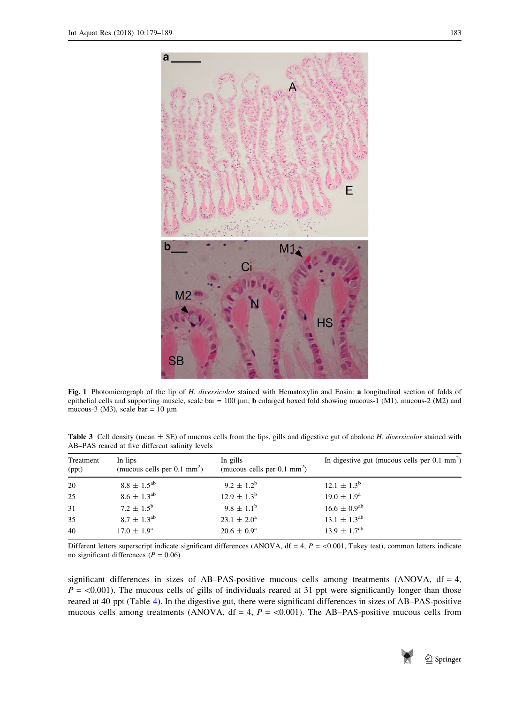<span id="page-4-0"></span>

Fig. 1 Photomicrograph of the lip of H. diversicolor stained with Hematoxylin and Eosin: a longitudinal section of folds of epithelial cells and supporting muscle, scale bar =  $100 \mu m$ ; **b** enlarged boxed fold showing mucous-1 (M1), mucous-2 (M2) and mucous-3 (M3), scale bar =  $10 \mu m$ 

Table 3 Cell density (mean  $\pm$  SE) of mucous cells from the lips, gills and digestive gut of abalone *H. diversicolor* stained with AB–PAS reared at five different salinity levels

| Treatment<br>(ppt) | In lips<br>(mucous cells per $0.1 \text{ mm}^2$ ) | In gills<br>(mucous cells per $0.1 \text{ mm}^2$ ) | In digestive gut (mucous cells per $0.1 \text{ mm}^2$ ) |
|--------------------|---------------------------------------------------|----------------------------------------------------|---------------------------------------------------------|
| 20                 | $8.8 \pm 1.5^{ab}$                                | $9.2 \pm 1.2^b$                                    | $12.1 \pm 1.3^b$                                        |
| 25                 | $8.6 \pm 1.3^{\rm ab}$                            | $12.9 \pm 1.3^b$                                   | $19.0 \pm 1.9^{\rm a}$                                  |
| 31                 | $7.2 \pm 1.5^{\rm b}$                             | $9.8 \pm 1.1^{\rm b}$                              | $16.6 \pm 0.9^{ab}$                                     |
| 35                 | $8.7 \pm 1.3^{\rm ab}$                            | $23.1 \pm 2.0^a$                                   | $13.1 \pm 1.3^{ab}$                                     |
| 40                 | $17.0 \pm 1.9^{\rm a}$                            | $20.6 \pm 0.9^{\rm a}$                             | $13.9 \pm 1.7^{ab}$                                     |

Different letters superscript indicate significant differences (ANOVA,  $df = 4$ ,  $P = \langle 0.001$ , Tukey test), common letters indicate no significant differences ( $P = 0.06$ )

significant differences in sizes of AB–PAS-positive mucous cells among treatments (ANOVA,  $df = 4$ ,  $P = \langle 0.001 \rangle$ . The mucous cells of gills of individuals reared at 31 ppt were significantly longer than those reared at 40 ppt (Table [4](#page-6-0)). In the digestive gut, there were significant differences in sizes of AB–PAS-positive mucous cells among treatments (ANOVA,  $df = 4$ ,  $P = \langle 0.001 \rangle$ ). The AB–PAS-positive mucous cells from

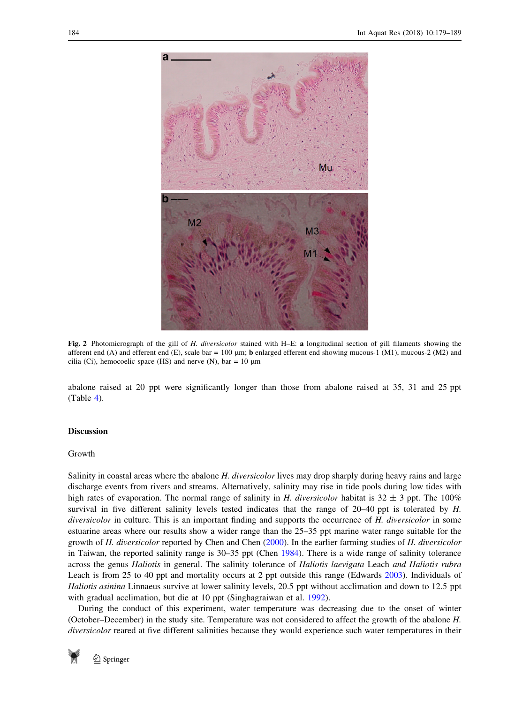<span id="page-5-0"></span>

Fig. 2 Photomicrograph of the gill of H. diversicolor stained with H–E: a longitudinal section of gill filaments showing the afferent end (A) and efferent end (E), scale bar = 100  $\mu$ m; **b** enlarged efferent end showing mucous-1 (M1), mucous-2 (M2) and cilia (Ci), hemocoelic space (HS) and nerve (N), bar = 10  $\mu$ m

abalone raised at 20 ppt were significantly longer than those from abalone raised at 35, 31 and 25 ppt (Table [4](#page-6-0)).

# Discussion

## Growth

Salinity in coastal areas where the abalone H. diversicolor lives may drop sharply during heavy rains and large discharge events from rivers and streams. Alternatively, salinity may rise in tide pools during low tides with high rates of evaporation. The normal range of salinity in H. diversicolor habitat is  $32 \pm 3$  ppt. The 100% survival in five different salinity levels tested indicates that the range of 20–40 ppt is tolerated by H. diversicolor in culture. This is an important finding and supports the occurrence of H. diversicolor in some estuarine areas where our results show a wider range than the 25–35 ppt marine water range suitable for the growth of H. diversicolor reported by Chen and Chen [\(2000](#page-9-0)). In the earlier farming studies of H. diversicolor in Taiwan, the reported salinity range is 30–35 ppt (Chen [1984\)](#page-9-0). There is a wide range of salinity tolerance across the genus Haliotis in general. The salinity tolerance of Haliotis laevigata Leach and Haliotis rubra Leach is from 25 to 40 ppt and mortality occurs at 2 ppt outside this range (Edwards [2003\)](#page-9-0). Individuals of Haliotis asinina Linnaeus survive at lower salinity levels, 20.5 ppt without acclimation and down to 12.5 ppt with gradual acclimation, but die at 10 ppt (Singhagraiwan et al. [1992\)](#page-10-0).

During the conduct of this experiment, water temperature was decreasing due to the onset of winter (October–December) in the study site. Temperature was not considered to affect the growth of the abalone H. diversicolor reared at five different salinities because they would experience such water temperatures in their

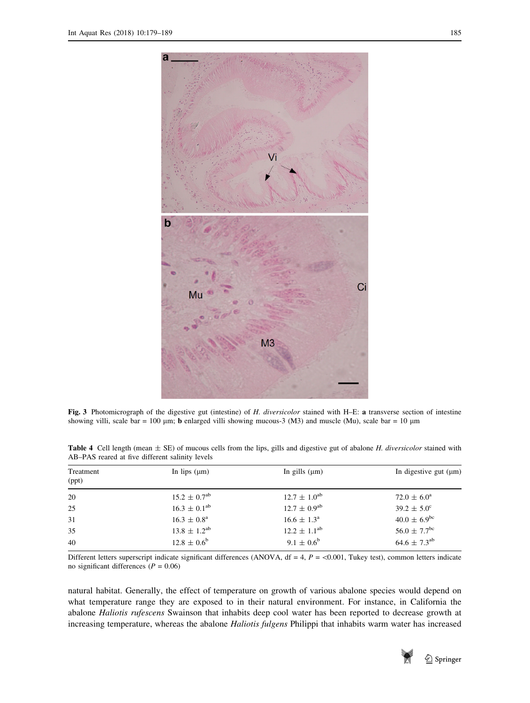<span id="page-6-0"></span>

Fig. 3 Photomicrograph of the digestive gut (intestine) of H. diversicolor stained with H–E: a transverse section of intestine showing villi, scale bar = 100  $\mu$ m; b enlarged villi showing mucous-3 (M3) and muscle (Mu), scale bar = 10  $\mu$ m

| Treatment<br>(ppt) | In lips $(\mu m)$            | In gills $(\mu m)$      | In digestive gut $(\mu m)$   |
|--------------------|------------------------------|-------------------------|------------------------------|
| 20                 | $15.2 \pm 0.7$ <sup>ab</sup> | $12.7 \pm 1.0^{ab}$     | $72.0 \pm 6.0^{\circ}$       |
| 25                 | $16.3 \pm 0.1^{ab}$          | $12.7 \pm 0.9^{\rm ab}$ | $39.2 \pm 5.0^{\circ}$       |
| 31                 | $16.3 \pm 0.8^{\rm a}$       | $16.6 \pm 1.3^{\circ}$  | $40.0 \pm 6.9^{\rm bc}$      |
| 35                 | $13.8 \pm 1.2^{ab}$          | $12.2 \pm 1.1^{ab}$     | $56.0 \pm 7.7^{\rm bc}$      |
| 40                 | $12.8 \pm 0.6^b$             | $9.1 \pm 0.6^{\rm b}$   | $64.6 \pm 7.3$ <sup>ab</sup> |
|                    |                              |                         |                              |

Table 4 Cell length (mean  $\pm$  SE) of mucous cells from the lips, gills and digestive gut of abalone H. diversicolor stained with AB–PAS reared at five different salinity levels

Different letters superscript indicate significant differences (ANOVA,  $df = 4$ ,  $P = \langle 0.001$ , Tukey test), common letters indicate no significant differences ( $P = 0.06$ )

natural habitat. Generally, the effect of temperature on growth of various abalone species would depend on what temperature range they are exposed to in their natural environment. For instance, in California the abalone Haliotis rufescens Swainson that inhabits deep cool water has been reported to decrease growth at increasing temperature, whereas the abalone Haliotis fulgens Philippi that inhabits warm water has increased

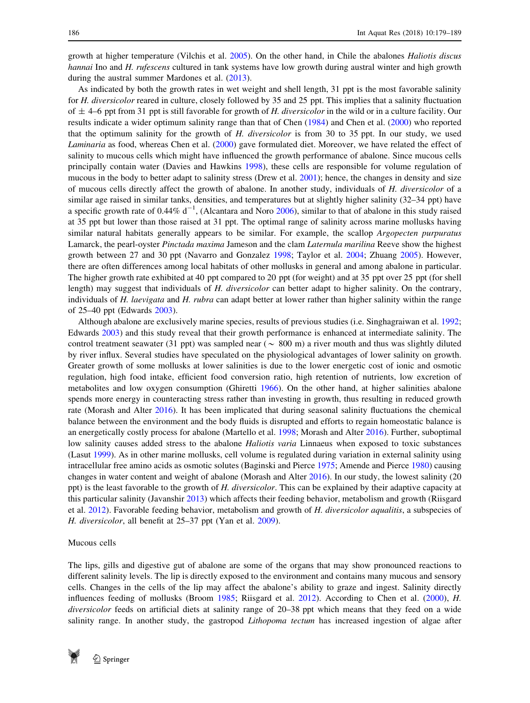growth at higher temperature (Vilchis et al. [2005](#page-10-0)). On the other hand, in Chile the abalones Haliotis discus hannai Ino and H. rufescens cultured in tank systems have low growth during austral winter and high growth during the austral summer Mardones et al. [\(2013](#page-9-0)).

As indicated by both the growth rates in wet weight and shell length, 31 ppt is the most favorable salinity for H. diversicolor reared in culture, closely followed by 35 and 25 ppt. This implies that a salinity fluctuation of  $\pm$  4–6 ppt from 31 ppt is still favorable for growth of H. diversicolor in the wild or in a culture facility. Our results indicate a wider optimum salinity range than that of Chen ([1984\)](#page-9-0) and Chen et al. [\(2000](#page-9-0)) who reported that the optimum salinity for the growth of H. diversicolor is from 30 to 35 ppt. In our study, we used Laminaria as food, whereas Chen et al. [\(2000](#page-9-0)) gave formulated diet. Moreover, we have related the effect of salinity to mucous cells which might have influenced the growth performance of abalone. Since mucous cells principally contain water (Davies and Hawkins [1998](#page-9-0)), these cells are responsible for volume regulation of mucous in the body to better adapt to salinity stress (Drew et al. [2001\)](#page-9-0); hence, the changes in density and size of mucous cells directly affect the growth of abalone. In another study, individuals of H. diversicolor of a similar age raised in similar tanks, densities, and temperatures but at slightly higher salinity (32–34 ppt) have a specific growth rate of 0.44%  $d^{-1}$ , (Alcantara and Noro [2006](#page-8-0)), similar to that of abalone in this study raised at 35 ppt but lower than those raised at 31 ppt. The optimal range of salinity across marine mollusks having similar natural habitats generally appears to be similar. For example, the scallop Argopecten purpuratus Lamarck, the pearl-oyster Pinctada maxima Jameson and the clam Laternula marilina Reeve show the highest growth between 27 and 30 ppt (Navarro and Gonzalez [1998](#page-9-0); Taylor et al. [2004](#page-10-0); Zhuang [2005](#page-10-0)). However, there are often differences among local habitats of other mollusks in general and among abalone in particular. The higher growth rate exhibited at 40 ppt compared to 20 ppt (for weight) and at 35 ppt over 25 ppt (for shell length) may suggest that individuals of H. diversicolor can better adapt to higher salinity. On the contrary, individuals of H. laevigata and H. rubra can adapt better at lower rather than higher salinity within the range of 25–40 ppt (Edwards [2003](#page-9-0)).

Although abalone are exclusively marine species, results of previous studies (i.e. Singhagraiwan et al. [1992;](#page-10-0) Edwards [2003\)](#page-9-0) and this study reveal that their growth performance is enhanced at intermediate salinity. The control treatment seawater (31 ppt) was sampled near ( $\sim 800$  m) a river mouth and thus was slightly diluted by river influx. Several studies have speculated on the physiological advantages of lower salinity on growth. Greater growth of some mollusks at lower salinities is due to the lower energetic cost of ionic and osmotic regulation, high food intake, efficient food conversion ratio, high retention of nutrients, low excretion of metabolites and low oxygen consumption (Ghiretti [1966\)](#page-9-0). On the other hand, at higher salinities abalone spends more energy in counteracting stress rather than investing in growth, thus resulting in reduced growth rate (Morash and Alter [2016](#page-9-0)). It has been implicated that during seasonal salinity fluctuations the chemical balance between the environment and the body fluids is disrupted and efforts to regain homeostatic balance is an energetically costly process for abalone (Martello et al. [1998;](#page-9-0) Morash and Alter [2016](#page-9-0)). Further, suboptimal low salinity causes added stress to the abalone *Haliotis varia* Linnaeus when exposed to toxic substances (Lasut [1999\)](#page-9-0). As in other marine mollusks, cell volume is regulated during variation in external salinity using intracellular free amino acids as osmotic solutes (Baginski and Pierce [1975;](#page-9-0) Amende and Pierce [1980](#page-9-0)) causing changes in water content and weight of abalone (Morash and Alter [2016](#page-9-0)). In our study, the lowest salinity (20 ppt) is the least favorable to the growth of H. diversicolor. This can be explained by their adaptive capacity at this particular salinity (Javanshir [2013\)](#page-9-0) which affects their feeding behavior, metabolism and growth (Riisgard et al. [2012](#page-9-0)). Favorable feeding behavior, metabolism and growth of H. diversicolor aqualitis, a subspecies of H. diversicolor, all benefit at 25–37 ppt (Yan et al. [2009\)](#page-10-0).

### Mucous cells

The lips, gills and digestive gut of abalone are some of the organs that may show pronounced reactions to different salinity levels. The lip is directly exposed to the environment and contains many mucous and sensory cells. Changes in the cells of the lip may affect the abalone's ability to graze and ingest. Salinity directly influences feeding of mollusks (Broom [1985](#page-9-0); Riisgard et al. [2012](#page-9-0)). According to Chen et al. ([2000\)](#page-9-0), H. diversicolor feeds on artificial diets at salinity range of 20–38 ppt which means that they feed on a wide salinity range. In another study, the gastropod *Lithopoma tectum* has increased ingestion of algae after

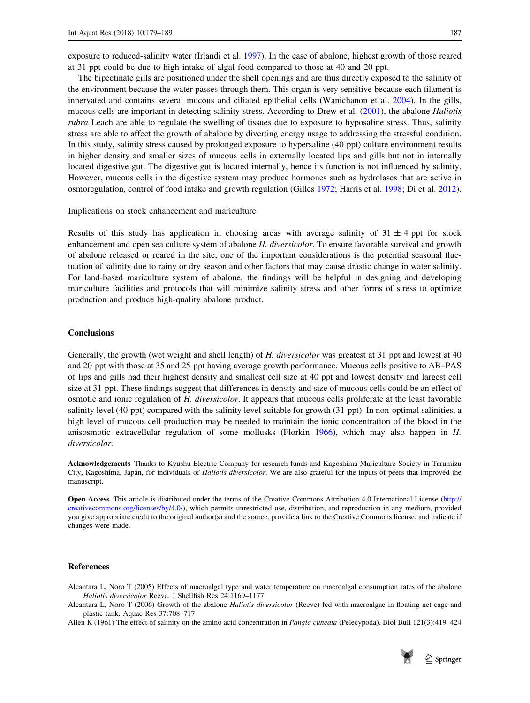<span id="page-8-0"></span>exposure to reduced-salinity water (Irlandi et al. [1997\)](#page-9-0). In the case of abalone, highest growth of those reared at 31 ppt could be due to high intake of algal food compared to those at 40 and 20 ppt.

The bipectinate gills are positioned under the shell openings and are thus directly exposed to the salinity of the environment because the water passes through them. This organ is very sensitive because each filament is innervated and contains several mucous and ciliated epithelial cells (Wanichanon et al. [2004](#page-10-0)). In the gills, mucous cells are important in detecting salinity stress. According to Drew et al. [\(2001](#page-9-0)), the abalone Haliotis rubra Leach are able to regulate the swelling of tissues due to exposure to hyposaline stress. Thus, salinity stress are able to affect the growth of abalone by diverting energy usage to addressing the stressful condition. In this study, salinity stress caused by prolonged exposure to hypersaline (40 ppt) culture environment results in higher density and smaller sizes of mucous cells in externally located lips and gills but not in internally located digestive gut. The digestive gut is located internally, hence its function is not influenced by salinity. However, mucous cells in the digestive system may produce hormones such as hydrolases that are active in osmoregulation, control of food intake and growth regulation (Gilles [1972](#page-9-0); Harris et al. [1998](#page-9-0); Di et al. [2012\)](#page-9-0).

## Implications on stock enhancement and mariculture

Results of this study has application in choosing areas with average salinity of  $31 \pm 4$  ppt for stock enhancement and open sea culture system of abalone H. diversicolor. To ensure favorable survival and growth of abalone released or reared in the site, one of the important considerations is the potential seasonal fluctuation of salinity due to rainy or dry season and other factors that may cause drastic change in water salinity. For land-based mariculture system of abalone, the findings will be helpful in designing and developing mariculture facilities and protocols that will minimize salinity stress and other forms of stress to optimize production and produce high-quality abalone product.

## **Conclusions**

Generally, the growth (wet weight and shell length) of H. diversicolor was greatest at 31 ppt and lowest at 40 and 20 ppt with those at 35 and 25 ppt having average growth performance. Mucous cells positive to AB–PAS of lips and gills had their highest density and smallest cell size at 40 ppt and lowest density and largest cell size at 31 ppt. These findings suggest that differences in density and size of mucous cells could be an effect of osmotic and ionic regulation of H. diversicolor. It appears that mucous cells proliferate at the least favorable salinity level (40 ppt) compared with the salinity level suitable for growth (31 ppt). In non-optimal salinities, a high level of mucous cell production may be needed to maintain the ionic concentration of the blood in the anisosmotic extracellular regulation of some mollusks (Florkin [1966](#page-9-0)), which may also happen in H. diversicolor.

Acknowledgements Thanks to Kyushu Electric Company for research funds and Kagoshima Mariculture Society in Tarumizu City, Kagoshima, Japan, for individuals of Haliotis diversicolor. We are also grateful for the inputs of peers that improved the manuscript.

Open Access This article is distributed under the terms of the Creative Commons Attribution 4.0 International License [\(http://](http://creativecommons.org/licenses/by/4.0/) [creativecommons.org/licenses/by/4.0/](http://creativecommons.org/licenses/by/4.0/)), which permits unrestricted use, distribution, and reproduction in any medium, provided you give appropriate credit to the original author(s) and the source, provide a link to the Creative Commons license, and indicate if changes were made.

## References

Alcantara L, Noro T (2005) Effects of macroalgal type and water temperature on macroalgal consumption rates of the abalone Haliotis diversicolor Reeve. J Shellfish Res 24:1169–1177

Alcantara L, Noro T (2006) Growth of the abalone Haliotis diversicolor (Reeve) fed with macroalgae in floating net cage and plastic tank. Aquac Res 37:708–717

Allen K (1961) The effect of salinity on the amino acid concentration in Pangia cuneata (Pelecypoda). Biol Bull 121(3):419–424

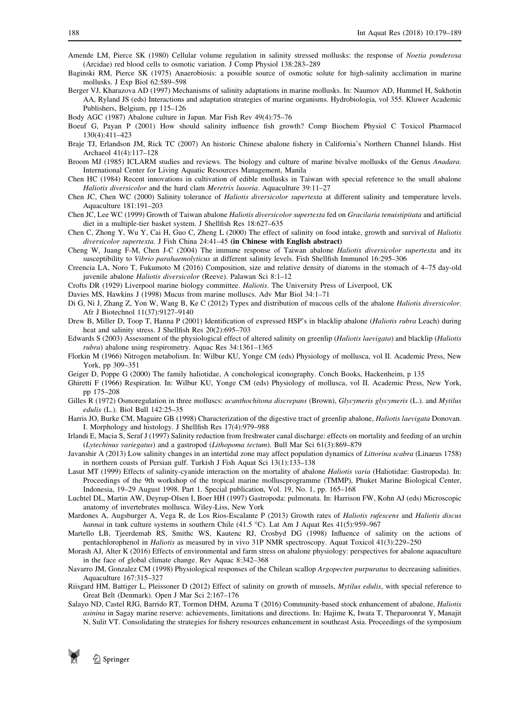- <span id="page-9-0"></span>Amende LM, Pierce SK (1980) Cellular volume regulation in salinity stressed mollusks: the response of Noetia ponderosa (Arcidae) red blood cells to osmotic variation. J Comp Physiol 138:283–289
- Baginski RM, Pierce SK (1975) Anaerobiosis: a possible source of osmotic solute for high-salinity acclimation in marine mollusks. J Exp Biol 62:589–598
- Berger VJ, Kharazova AD (1997) Mechanisms of salinity adaptations in marine mollusks. In: Naumov AD, Hummel H, Sukhotin AA, Ryland JS (eds) Interactions and adaptation strategies of marine organisms. Hydrobiologia, vol 355. Kluwer Academic Publishers, Belgium, pp 115–126
- Body AGC (1987) Abalone culture in Japan. Mar Fish Rev 49(4):75–76
- Boeuf G, Payan P (2001) How should salinity influence fish growth? Comp Biochem Physiol C Toxicol Pharmacol 130(4):411–423
- Braje TJ, Erlandson JM, Rick TC (2007) An historic Chinese abalone fishery in California's Northern Channel Islands. Hist Archaeol 41(4):117–128
- Broom MJ (1985) ICLARM studies and reviews. The biology and culture of marine bivalve mollusks of the Genus Anadara. International Center for Living Aquatic Resources Management, Manila
- Chen HC (1984) Recent innovations in cultivation of edible mollusks in Taiwan with special reference to the small abalone Haliotis diversicolor and the hard clam Meretrix lusoria. Aquaculture 39:11–27
- Chen JC, Chen WC (2000) Salinity tolerance of Haliotis diversicolor supertexta at different salinity and temperature levels. Aquaculture 181:191–203
- Chen JC, Lee WC (1999) Growth of Taiwan abalone Haliotis diversicolor supertexta fed on Gracilaria tenuistipitata and artificial diet in a multiple-tier basket system. J Shellfish Res 18:627–635
- Chen C, Zhong Y, Wu Y, Cai H, Guo C, Zheng L (2000) The effect of salinity on food intake, growth and survival of Haliotis diversicolor supertexta. J Fish China 24:41–45 (in Chinese with English abstract)
- Cheng W, Juang F-M, Chen J-C (2004) The immune response of Taiwan abalone Haliotis diversicolor supertexta and its susceptibility to Vibrio parahaemolyticus at different salinity levels. Fish Shellfish Immunol 16:295–306
- Creencia LA, Noro T, Fukumoto M (2016) Composition, size and relative density of diatoms in the stomach of 4–75 day-old juvenile abalone Haliotis diversicolor (Reeve). Palawan Sci 8:1–12
- Crofts DR (1929) Liverpool marine biology committee. Haliotis. The University Press of Liverpool, UK
- Davies MS, Hawkins J (1998) Mucus from marine molluscs. Adv Mar Biol 34:1–71
- Di G, Ni J, Zhang Z, Yon W, Wang B, Ke C (2012) Types and distribution of mucous cells of the abalone *Haliotis diversicolor*. Afr J Biotechnol 11(37):9127–9140
- Drew B, Miller D, Toop T, Hanna P (2001) Identification of expressed HSP's in blacklip abalone (*Haliotis rubra* Leach) during heat and salinity stress. J Shellfish Res 20(2):695–703
- Edwards S (2003) Assessment of the physiological effect of altered salinity on greenlip (Haliotis laevigata) and blacklip (Haliotis rubra) abalone using respirometry. Aquac Res 34:1361–1365
- Florkin M (1966) Nitrogen metabolism. In: Wilbur KU, Yonge CM (eds) Physiology of mollusca, vol II. Academic Press, New York, pp 309–351
- Geiger D, Poppe G (2000) The family haliotidae, A conchological iconography. Conch Books, Hackenheim, p 135
- Ghiretti F (1966) Respiration. In: Wilbur KU, Yonge CM (eds) Physiology of mollusca, vol II. Academic Press, New York, pp 175–208
- Gilles R (1972) Osmoregulation in three molluscs: acanthochitona discrepans (Brown), Glycymeris glycymeris (L.). and Mytilus edulis (L.). Biol Bull 142:25–35
- Harris JO, Burke CM, Maguire GB (1998) Characterization of the digestive tract of greenlip abalone, Haliotis laevigata Donovan. I. Morphology and histology. J Shellfish Res 17(4):979–988
- Irlandi E, Macia S, Seraf J (1997) Salinity reduction from freshwater canal discharge: effects on mortality and feeding of an urchin (Lytechinus variegatus) and a gastropod (Lithopoma tectum). Bull Mar Sci 61(3):869–879
- Javanshir A (2013) Low salinity changes in an intertidal zone may affect population dynamics of Littorina scabra (Linaeus 1758) in northern coasts of Persian gulf. Turkish J Fish Aquat Sci 13(1):133–138
- Lasut MT (1999) Effects of salinity-cyanide interaction on the mortality of abalone Haliotis varia (Haliotidae: Gastropoda). In: Proceedings of the 9th workshop of the tropical marine molluscprogramme (TMMP), Phuket Marine Biological Center, Indonesia, 19–29 August 1998. Part 1. Special publication, Vol. 19, No. 1, pp. 165–168
- Luchtel DL, Martin AW, Deyrup-Olsen I, Boer HH (1997) Gastropoda: pulmonata. In: Harrison FW, Kohn AJ (eds) Microscopic anatomy of invertebrates mollusca. Wiley-Liss, New York
- Mardones A, Augsburger A, Vega R, de Los Rios-Escalante P (2013) Growth rates of Haliotis rufescens and Haliotis discus hannai in tank culture systems in southern Chile (41.5 °C). Lat Am J Aquat Res 41(5):959–967
- Martello LB, Tjeerdemab RS, Smithc WS, Kautenc RJ, Crosbyd DG (1998) Influence of salinity on the actions of pentachlorophenol in Haliotis as measured by in vivo 31P NMR spectroscopy. Aquat Toxicol 41(3):229–250
- Morash AJ, Alter K (2016) Effects of environmental and farm stress on abalone physiology: perspectives for abalone aquaculture in the face of global climate change. Rev Aquac 8:342–368
- Navarro JM, Gonzalez CM (1998) Physiological responses of the Chilean scallop Argopecten purpuratus to decreasing salinities. Aquaculture 167:315–327
- Riisgard HM, Battiger L, Pleissoner D (2012) Effect of salinity on growth of mussels, Mytilus edulis, with special reference to Great Belt (Denmark). Open J Mar Sci 2:167–176
- Salayo ND, Castel RJG, Barrido RT, Tormon DHM, Azuma T (2016) Community-based stock enhancement of abalone, Haliotis asinina in Sagay marine reserve: achievements, limitations and directions. In: Hajime K, Iwata T, Theparoonrat Y, Manajit N, Sulit VT. Consolidating the strategies for fishery resources enhancement in southeast Asia. Proceedings of the symposium